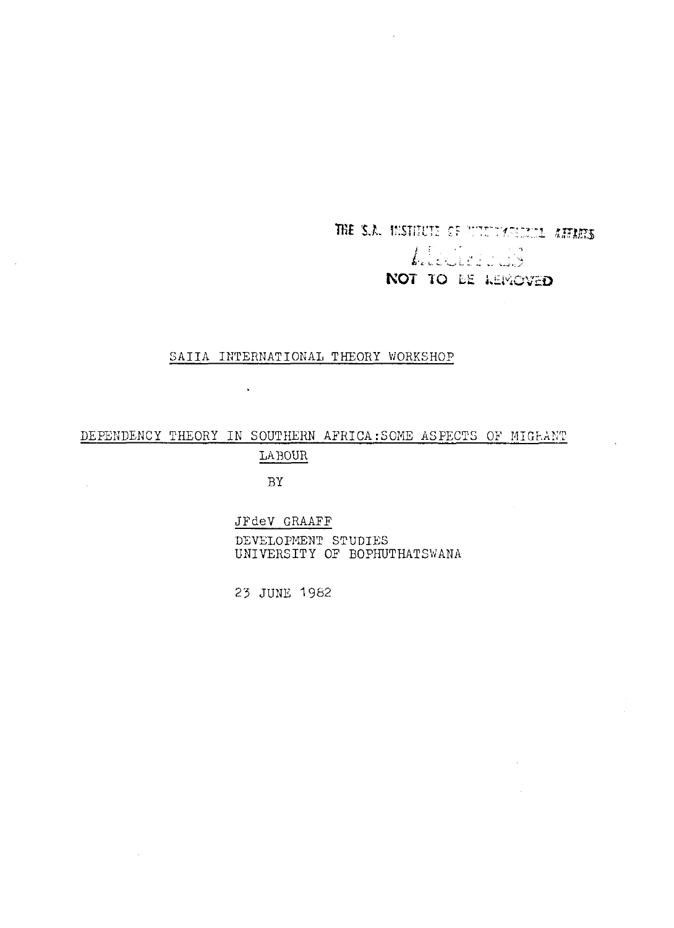THE S.A. MISTITUTE OF WILDWIGHTEL ATTACKS L'écologie NOT TO BE LEMOVED

 $\sim$   $\sim$ 

### SAIIA INTERNATIONAL THEORY WORKSHOP

# DEPENDENCY THEORY IN SOUTHERN AFRICA:SOME ASPECTS OF MIGRANT LABOUR

BY

 $\sim$   $\sim$ 

 $\bar{z}$ 

 $\sim$ 

 $\sim$ 

## JFdeV GRAAFF

DEVELOPMENT STUDIES UNIVERSITY OF BOPHUTHATSWANA

23 JUNE 1982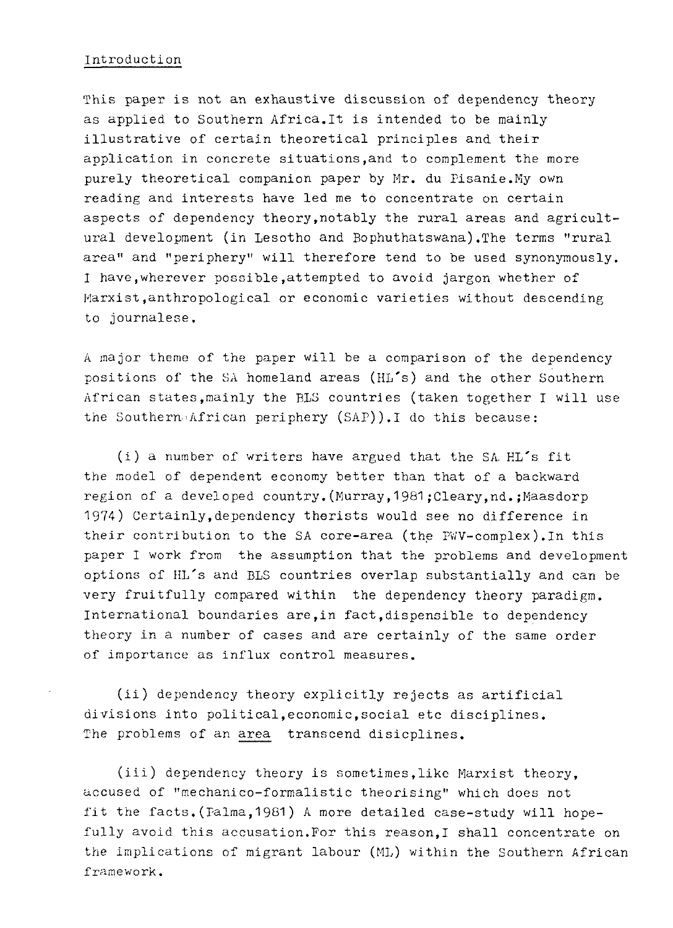### Introduction

This paper is not an exhaustive discussion of dependency theory as applied to Southern Africa.It is intended to be mainly illustrative of certain theoretical principles and their application in concrete situations,and to complement the more purely theoretical companion paper by Mr. du Pisanie.My own reading and interests have led me to concentrate on certain aspects of dependency theory,notably the rural areas and agricultural development (in Lesotho and Bophuthatswana).The terms "rural area" and "periphery" will therefore tend to be used synonymously. I have,wherever possible,attempted to avoid jargon whether of Marxist,anthropological or economic varieties without descending to journalese.

A major theme of the paper will be a comparison of the dependency positions of the SA homeland areas (HL's) and the other Southern African states,mainly the BLS countries (taken together I will use the Southern.'African periphery (SAP)). I do this because:

(i) a number of writers have argued that the SA.  $H L$ 's fit the model of dependent economy better than that of a backward region of a developed country.(Murray,1981;Cleary,nd.;Maasdorp 1974) Certainly,dependency therists would see no difference in their contribution to the SA core-area (the PWV-complex).In this paper I work from the assumption that the problems and development options of HL's and BLS countries overlap substantially and can be very fruitfully compared within the dependency theory paradigm. International boundaries are,in fact,dispensible to dependency theory in a number of cases and are certainly of the same order of importance as influx control measures.

(ii) dependency theory explicitly rejects as artificial divisions into political,economic,social etc disciplines. The problems of an area transcend disicplines.

(iii) dependency theory is sometimes,like Marxist theory, accused of "mechanico-formalistic theorising" which does not fit the facts.(Palma,19S1) A more detailed case-study will hopefully avoid this accusation.For this reason,I shall concentrate on the implications of migrant labour (ML) within the Southern African framework.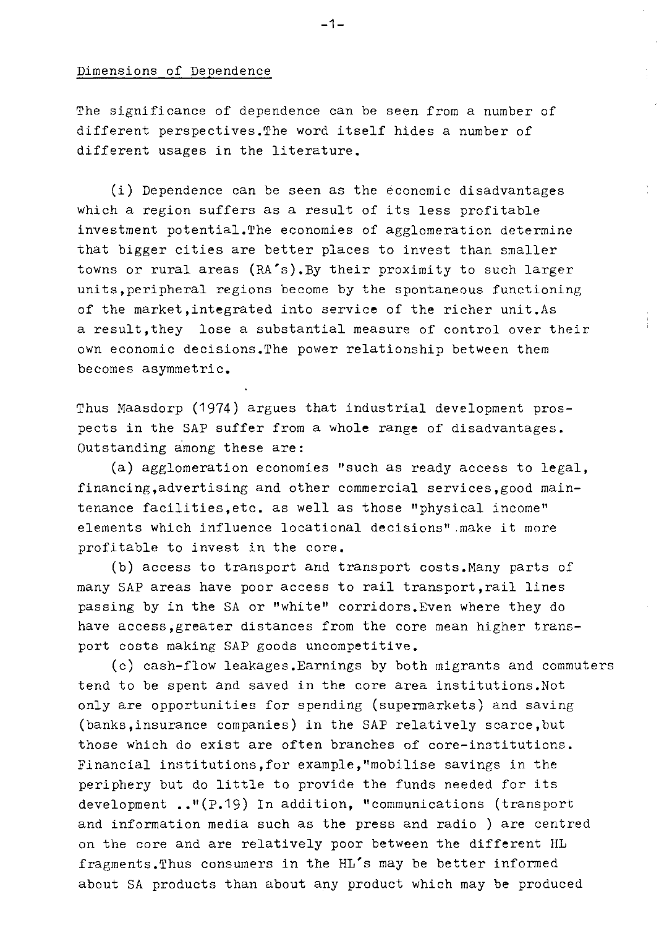## Dimensions of Dependence

The significance of dependence can be seen from a number of different perspectives.The word itself hides a number of different usages in the literature.

(i) Dependence can be seen as the economic disadvantages which a region suffers as a result of its less profitable investment potential.The economies of agglomeration determine that bigger cities are better places to invest than smaller towns or rural areas (RA's).By their proximity to such larger units,peripheral regions become by the spontaneous functioning of the market, integrated into service of the richer unit.As a result,they lose a substantial measure of control over their own economic decisions.The power relationship between them becomes asymmetric.

Thus Maasdorp (1974) argues that industrial development prospects in the SAP suffer from a whole range of disadvantages. Outstanding among these are:

(a) agglomeration economies "such as ready access to legal, financing,advertising and other commercial services.good maintenance facilities,etc. as well as those "physical income" elements which influence locational decisions".make it more profitable to invest in the core.

(b) access to transport and transport costs.Many parts of many SAP areas have poor access to rail transport,rail lines passing by in the SA or "white" corridors.Even where they do have access, greater distances from the core mean higher transport costs making SAP goods uncompetitive.

(c) cash-flow leakages.Earnings by both migrants and commuters tend to be spent and saved in the core area institutions.Not only are opportunities for spending (supermarkets) and saving (banks,insurance companies) in the SAP relatively scarce,but those which do exist are often branches of core-institutions. Financial institutions,for example/'mobilise savings in the periphery but do little to provide the funds needed for its development .."(P.19) In addition, "communications (transport and information media such as the press and radio ) are centred on the core and are relatively poor between the different HL fragments.Thus consumers in the HL's may be better informed about SA products than about any product which may be produced

-1-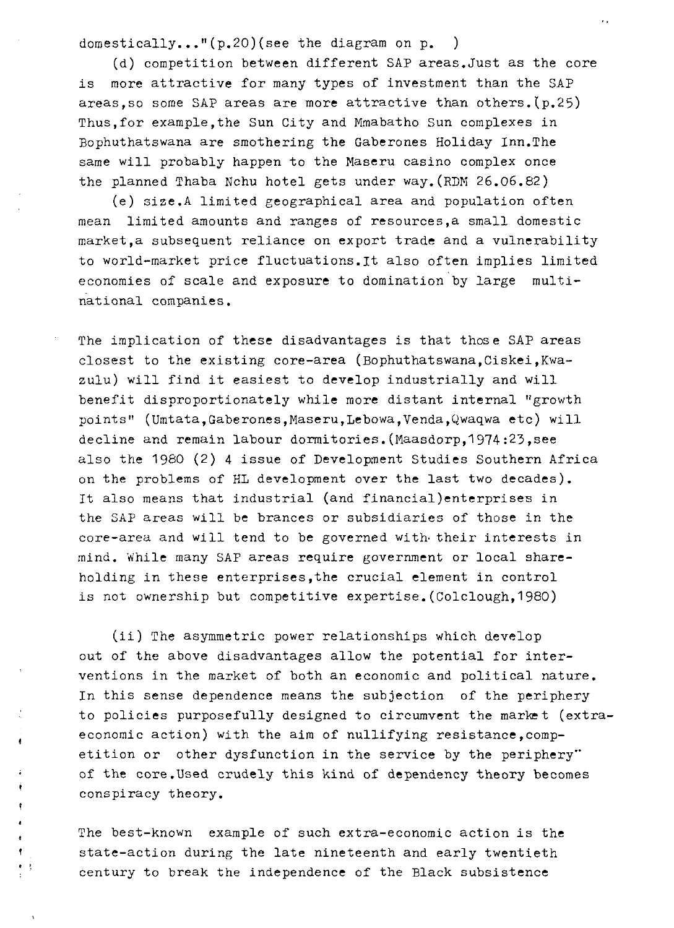domestically..."(p.20)(see the diagram on p. )

(d) competition between different SAP areas.Just as the core is more attractive for many types of investment than the SAP areas,so some SAP areas are more attractive than others.(p.25) Thus,for example,the Sun City and Mmabatho Sun complexes in Bophuthatswana are smothering the Gaberones Holiday Inn.The same will probably happen to the Maseru casino complex once the planned Thaba Nchu hotel gets under way.(RDM 26.06.82)

(e) sise.A limited geographical area and population often mean limited amounts and ranges of resources,a small domestic market,a subsequent reliance on export trade and a vulnerability to world-market price fluctuations.lt also often implies limited economies of scale and exposure to domination by large multinational companies.

The implication of these disadvantages is that those SAP areas closest to the existing core-area (Bophuthatswana,Ciskei,Kwazulu) will find it easiest to develop industrially and will benefit disproportionately while more distant internal "growth points" (Umtata,Gaberones,Maseru,Lebowa,Venda,Qwaqwa etc) will decline and remain labour dormitories.(Maasdorp,1974:23,see also the 1960 (2) 4 issue of Development Studies Southern Africa on the problems of HL development over the last two decades). It also means that industrial (and financial)enterprises in the SAP areas will be brances or subsidiaries of those in the core-area and will tend to be governed with- their interests in mind. While many SAP areas require government or local shareholding in these enterprises,the crucial element in control is not ownership but competitive expertise.(Colclough,1980)

(ii) The asymmetric power relationships which develop out of the above disadvantages allow the potential for interventions in the market of both an economic and political nature. In this sense dependence means the subjection of the periphery to policies purposefully designed to circumvent the market (extraeconomic action) with the aim of nullifying resistance, competition or other dysfunction in the service by the periphery" of the core.Used crudely this kind of dependency theory becomes conspiracy theory.

The best-known example of such extra-economic action is the state-action during the late nineteenth and early twentieth century to break the independence of the Black subsistence

ł  $\pmb{\mathfrak{f}}$ 

 $\bullet$  $\bullet$  .  $\frac{1}{2}$ 

 $\ddot{\phantom{a}}$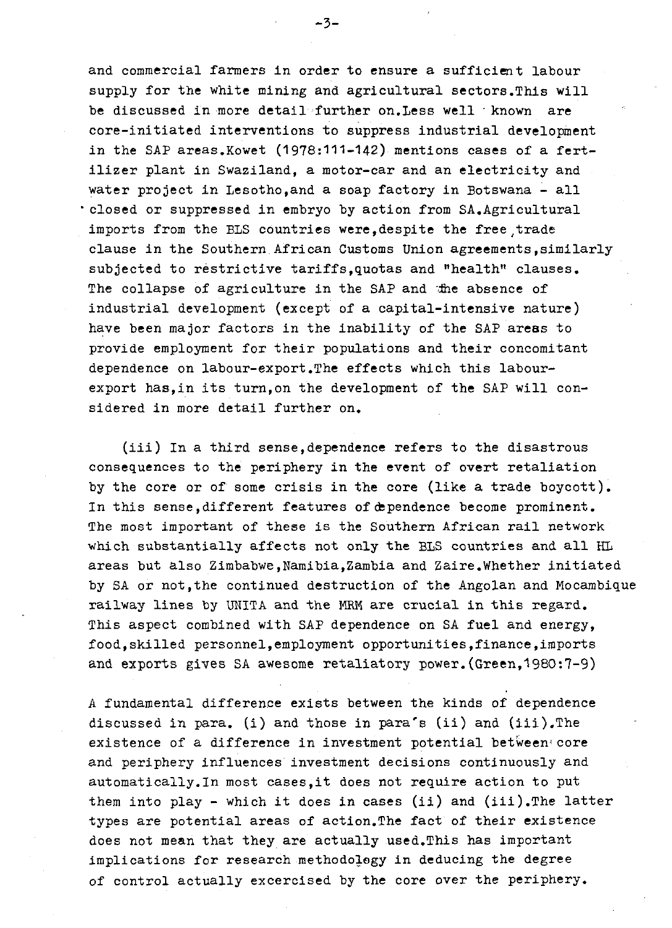and commercial farmers in order to ensure a sufficient labour supply for the white mining and agricultural sectors.This will be discussed in more detail further on. Less well known are core-initiated interventions to suppress industrial development in the SAP areas.Kowet (1978:111-142) mentions cases of a fertilizer plant in Swaziland, a motor-car and an electricity and water project in Lesotho,and a soap factory in Botswana - all closed or suppressed in embryo by action from SA.Agricultural imports from the BLS countries were, despite the free trade clause in the Southern.African Customs Union agreements,similarly subjected to restrictive tariffs,quotas and "health" clauses. The collapse of agriculture in the SAP and the absence of industrial development (except of a capital-intensive nature) have been major factors in the inability of the SAP areas to provide employment for their populations and their concomitant dependence on labour-export.The effects which this labourexport has,in its turn,on the development of the SAP will considered in more detail further on.

(iii) In a third sense,dependence refers to the disastrous consequences to the periphery in the event of overt retaliation by the core or of some crisis in the core (like a trade boycott). In this sense,different features of dependence become prominent. The most important of these is the Southern African rail network which substantially affects not only the BLS countries and all HI areas but also Zimbabwe,Namibia,Zambia and Zaire.Whether initiated by SA or not,the continued destruction of the Angolan and Mocambique railway lines by UNITA and the MRM are crucial in this regard. This aspect combined with SAP dependence on SA fuel and energy, food,skilled personnel,employment opportunities,finance,imports and exports gives SA awesome retaliatory power.(Green,1980:7-9)

A fundamental difference exists between the kinds of dependence discussed in para, (i) and those in para's (ii) and (iii),The existence of a difference in investment potential between\* core and periphery influences investment decisions continuously and automatically.In most cases,it does not require action to put them into play - which it does in cases (ii) and (iii).The latter types are potential areas of action.The fact of their existence does not mean that they are actually used.This has important implications for research methodology in deducing the degree of control actually excercised by the core over the periphery.

-3-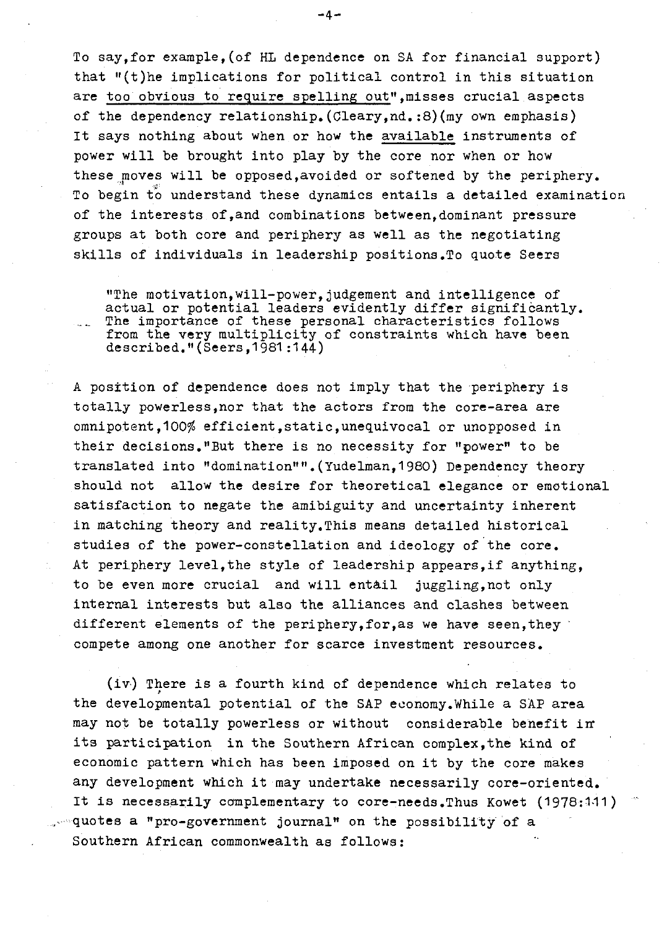To say,for example,(of HL dependence on SA for financial support) that "(t)he implications for political control in this situation are too obvious to require spelling out", misses crucial aspects of the dependency relationship.(Cleary,nd.:8)(my own emphasis) It says nothing about when or how the available instruments of power will be brought into play by the core nor when or how these moves will be opposed,avoided or softened by the periphery. To begin to understand these dynamics entails a detailed examination of the interests of,and combinations between,dominant pressure groups at both core and periphery as well as the negotiating skills of individuals in leadership positions.To quote Seers

"The motivation,will-power,judgement and intelligence of actual or potential leaders evidently differ significantly. \_\_ The importance of these personal characteristics follows from the very multiplicity of constraints which have been described."(Seers,1981:144)

A position of dependence does not imply that the periphery is totally powerless,nor that the actors from the core-area are omnipotent, 100% efficient, static, unequivocal or unopposed in their decisions."But there is no necessity for "power" to be translated into "domination"".(Yudelman,1980) Dependency theory should not allow the desire for theoretical elegance or emotional satisfaction to negate the amibiguity and uncertainty inherent in matching theory and reality,This means detailed historical studies of the power-constellation and ideology of the core. At periphery level,the style of leadership appears,if anything, to be even more crucial and will entail juggling,not only internal interests but also the alliances and clashes between different elements of the periphery, for, as we have seen, they compete among one another for scarce investment resources.

(iv) There is a fourth kind of dependence which relates to the developmental potential of the SAP economy.While a SAP area may not be totally powerless or without considerable benefit in its participation in the Southern African complex,the kind of economic pattern which has been imposed on it by the core makes any development which it may undertake necessarily core-oriented. It is necessarily complementary to core-needs. Thus Kowet (1978:111)  $\sim$ quotes a "pro-government journal" on the possibility of a Southern African commonwealth as follows: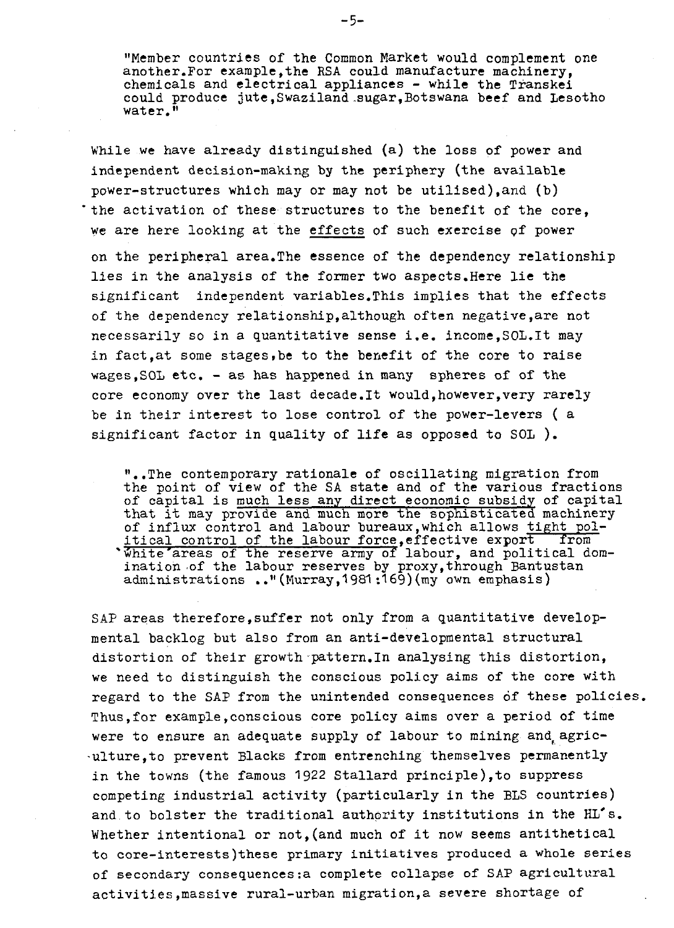"Member countries of the Common Market would complement one another.For example,the RSA could manufacture machinery, chemicals and electrical appliances - while the Transkei could produce jute,Swaziland .sugar,Botswana beef and Lesotho water.<sup>1</sup>

While we have already distinguished (a) the loss of power and independent decision-making by the periphery (the available power-structures which may or may not be utilised),and (b) the activation of these structures to the benefit of the core. we are here looking at the effects of such exercise pf power on the peripheral area.The essence of the dependency relationship lies in the analysis of the former two aspects.Here lie the significant independent variables.This implies that the effects of the dependency relationship,although often negative,are not necessarily so in a quantitative sense i.e. income,SOL.It may in fact,at some stages,be to the benefit of the core to raise wages,SOL etc. - as has happened in many spheres of of the core economy over the last decade.It would,however,very rarely be in their interest to lose control of the power-levers ( a significant factor in quality of life as opposed to SOL ).

"..The contemporary rationale of oscillating migration from the point of view of the SA state and of the various fractions of capital is much less any direct economic subsidy of capital that it may provide and much more the sophisticated machinery of influx control and labour bureaux,which allows tight political control of the labour force, effective export from \* white'areas of the reserve army of labour, and political domination .of the labour reserves by proxy,through Bantustan administrations .."(Murray,1981 :169) (my own emphasis)

SAP areas therefore,suffer not only from a quantitative developmental backlog but also from an anti-developmental structural distortion of their growth pattern.In analysing this distortion, we need to distinguish the conscious policy aims of the core with regard to the SAP from the unintended consequences of these policies. Thus,for example,conscious core policy aims over a period of time were to ensure an adequate supply of labour to mining and agric--ulture,to prevent Blacks from entrenching themselves permanently in the towns (the famous 1922 Stallard principle),to suppress competing industrial activity (particularly in the BLS countries) and to bolster the traditional authority institutions in the HL's. Whether intentional or not, (and much of it now seems antithetical to core-interests)these primary initiatives produced a whole series of secondary consequences:a complete collapse of SAP agricultural activities,massive rural-urban migration,a severe shortage of

-5-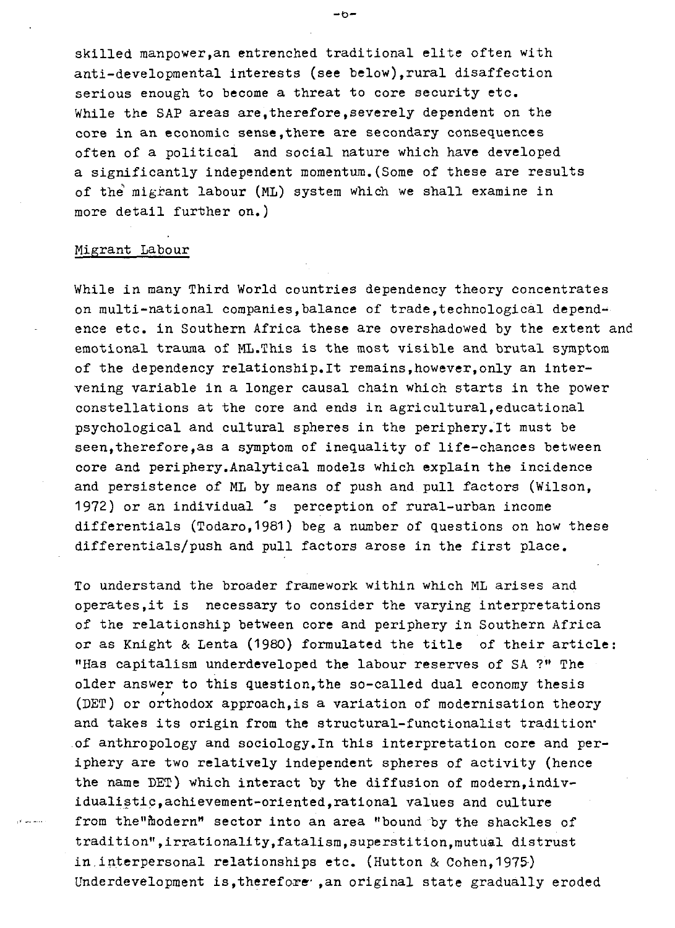skilled manpower, an entrenched traditional elite often with<br>anti-developmental interests (see below), rural disaffection serious enough to become a threat to core security etc. While the SAP areas are,therefore,severely dependent on the core in an economic sense,there are secondary consequences often of a political and social nature which have developed a significantly independent momentum.(Some of these are results of the migrant labour (ML) system which we shall examine in more detail further on.)

## Migrant Labour

While in many Third World countries dependency theory concentrates on multi-national companies, balance of trade, technological dependence etc. in Southern Africa these are overshadowed by the extent and emotional trauma of ML.This is the most visible and brutal symptom of the dependency relationship.lt remains,however,only an intervening variable in a longer causal chain which starts in the power constellations at the core and ends in agricultural,educational psychological and cultural spheres in the periphery.lt must be seen, therefore, as a symptom of inequality of life-chances between core and periphery.Analytical models which explain the incidence and persistence of ML by means of push and pull factors (Wilson, 1972) or an individual \*s perception of rural-urban income differentials (Todaro, 1981) beg a number of questions on how these differentials/push and pull factors arose in the first place.

To understand the broader framework within which ML arises and operates.it is necessary to consider the varying interpretations of the relationship between core and periphery in Southern Africa or as Knight & Lenta (1980) formulated the title of their article: "Has capitalism underdeveloped the labour reserves of SA ?" The older answer to this question,the so-called dual economy thesis (DET) or orthodox approach,is a variation of modernisation theory and takes its origin from the structural-functionalist tradition\* of anthropology and sociology,In this interpretation core and periphery are two relatively independent spheres of activity (hence the name BET) which interact by the diffusion of modern,individualistic,achievement-oriented,rational values and culture from the"modern" sector into an area "bound by the shackles of tradition",irrationality.fatalism,superstition,mutual distrust in,interpersonal relationships etc. (Hutton & Cohen,1975) Underdevelopment is, therefore , an original state gradually eroded

 $-6-$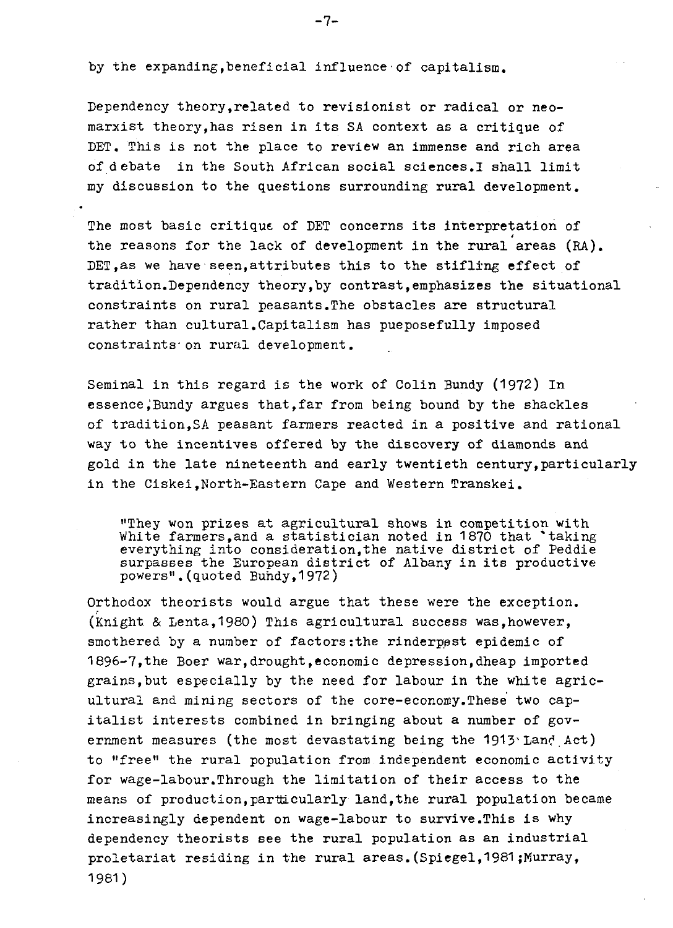by the expanding,beneficial influence of capitalism.

Dependency theory,related to revisionist or radical or neomarxist theory,has risen in its SA context as a critique of DET. This is not the place to review an immense and rich area of debate in the South African social sciences.I shall limit my discussion to the questions surrounding rural development.

The most basic critique of DET concerns its interpretation of the reasons for the lack of development in the rural areas (RA). DET. as we have seen, attributes this to the stifling effect of tradition.Dependency theory,by contrast,emphasizes the situational constraints on rural peasants.The obstacles are structural rather than cultural.Capitalism has pueposefully imposed constraints on rural development.

Seminal in this regard is the work of Colin Bundy (1972) In essence.Bundy argues that.far from being bound by the shackles of tradition,SA peasant farmers reacted in a positive and rational way to the incentives offered by the discovery of diamonds and gold in the late nineteenth and early twentieth century,particularly in the Ciskei,North-Eastern Cape and Western Transkei.

"They won prizes at agricultural shows in competition with White farmers, and a statistician noted in 1870 that 'taking everything into consideration,the native district of Peddie surpasses the European district of Albany in its productive powers". (quoted Bundy, 1972)

Orthodox theorists would argue that these were the exception. (Knight. & Lenta,1980) This agricultural success was,however, smothered by a number of factors:the rinderpest epidemic of 1896-7,the Boer war,drought,economic depression,dheap imported grains,but especially by the need for labour in the white agricultural and mining sectors of the core-economy.These two capitalist interests combined in bringing about a number of government measures (the most devastating being the  $1913$  Land Act) to "free" the rural population from independent economic activity for wage-labour.Through the limitation of their access to the means of production,particularly land,the rural population became increasingly dependent on wage-labour to survive.This is why dependency theorists see the rural population as an industrial proletariat residing in the rural areas. (Spiegel, 1981; Murray, 1981)

 $-7-$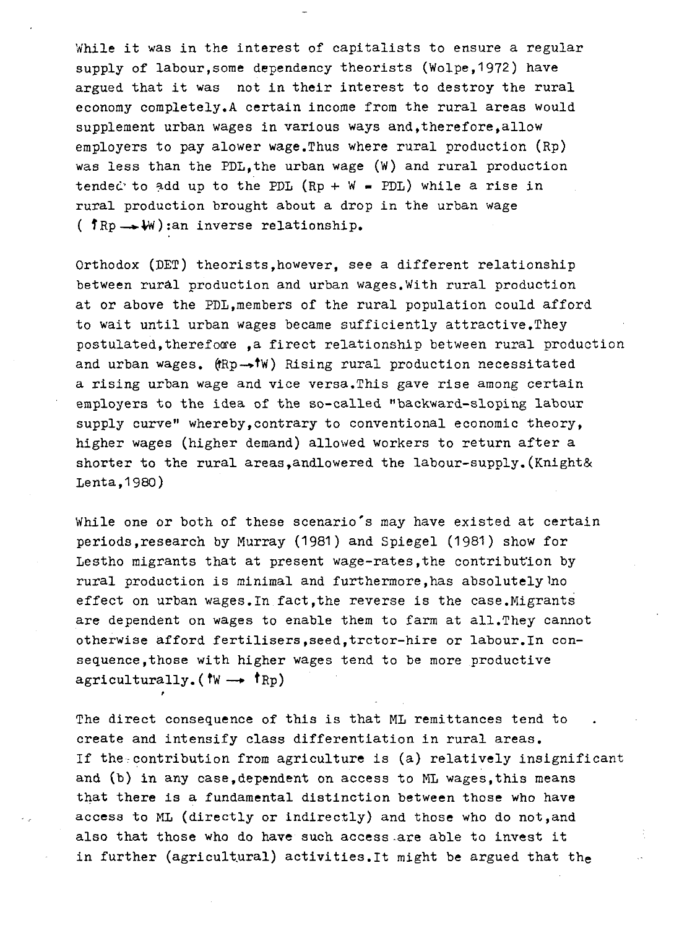While it was in the interest of capitalists to ensure a regular supply of labour,some dependency theorists (Wolpe,1972) have argued that it was not in their interest to destroy the rural economy completely.A certain income from the rural areas would supplement urban wages in various ways and,therefore,allow employers to pay alower wage.Thus where rural production (Rp) was less than the PDL,the urban wage (W) and rural production tended to add up to the PDL (Rp +  $W$  = PDL) while a rise in rural production brought about a drop in the urban wage ( $f_{\text{Rp}} \rightarrow W$ ):an inverse relationship.

Orthodox (DET) theorists,however, see a different relationship between rural production and urban wages.With rural production at or above the PDL,members of the rural population could afford to wait until urban wages became sufficiently attractive.They postulated, therefore , a firect relationship between rural production and urban wages. (fRp-><sup>†</sup>W) Rising rural production necessitated a rising urban wage and vice versa.This gave rise among certain employers to the idea of the so-called "backward-sloping labour supply curve" whereby,contrary to conventional economic theory, higher wages (higher demand) allowed workers to return after a shorter to the rural areas, and lowered the labour-supply. (Knight& Lenta,1980)

While one or both of these scenario's may have existed at certain periods,research by Murray (1981) and Spiegel (1981) show for Lestho migrants that at present wage-rates,the contribution by rural production is minimal and furthermore,has absolutely Ino effect on urban wages.In fact,the reverse is the case.Migrants are dependent on wages to enable them to farm at all.They cannot otherwise afford fertilisers,seed,trctor-hire or labour.In consequence ,those with higher wages tend to be more productive agriculturally. ( $\mathsf{tw} \rightarrow \mathsf{tp}$ )

The direct consequence of this is that ML remittances tend to create and intensify class differentiation in rural areas. If the contribution from agriculture is (a) relatively insignificant and (b) in any case,dependent on access to ML wages,this means that there is a fundamental distinction between those who have access to ML (directly or indirectly) and those who do not,and also that those who do have such access-are able to invest it in further (agricultural) activities.lt might be argued that the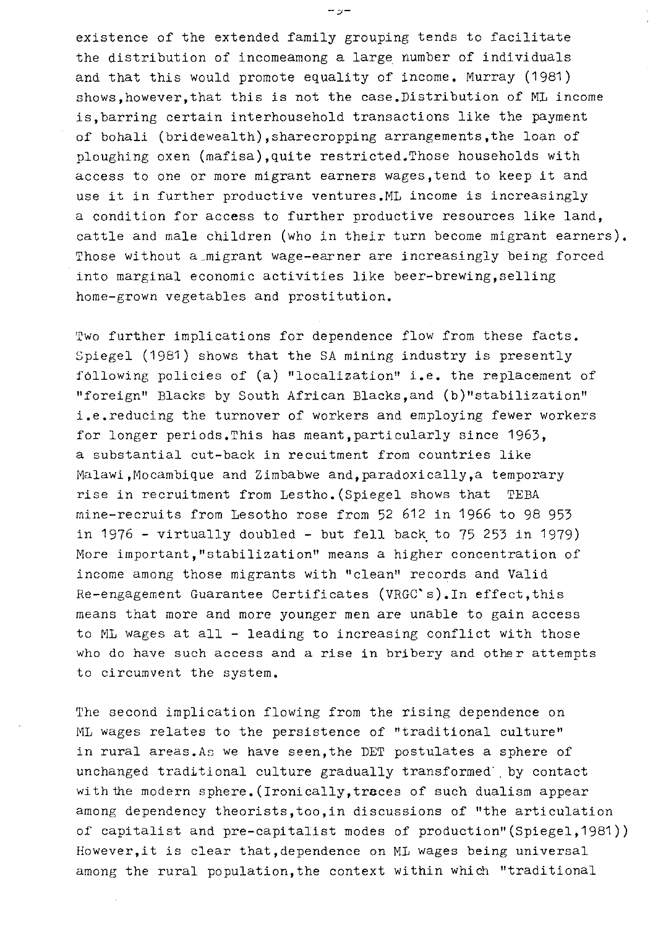existence of the extended family grouping tends to facilitate the distribution of incomeamong a large number of individuals and that this would promote equality of income. Murray (1981) shows,however,that this is not the case.Distribution of ML income is,barring certain interhousehold transactions like the payment of bohali (bridewealth),sharecropping arrangements,the loan of ploughing oxen (mafisa),quite restricted.Those households with access to one or more migrant earners wages,tend to keep it and use it in further productive ventures.ML income is increasingly a condition for access to further productive resources like land, cattle and male children (who in their turn become migrant earners). Those without a migrant wage-earner are increasingly being forced into marginal economic activities like beer-brewing,selling home-grown vegetables and prostitution.

Two further implications for dependence flow from these facts. Spiegel (1981) shows that the SA mining industry is presently fdllowing policies of (a) "localization" i.e. the replacement of "foreign" Blacks by South African Blacks,and (b)"stabilization" i.e.reducing the turnover of workers and employing fewer workers for longer periods.This has meant,particularly since 1963, a substantial cut-back in recuitment from countries like Malawi,Mocambique and Zimbabwe and,paradoxically,a temporary rise in recruitment from Lestho.(Spiegel shows that TEBA mine-recruits from Lesotho rose from 52 612 in 1966 to 98 953 in 1976 - virtually doubled - but fell back to 75 253 in 1979) More important, "stabilization" means a higher concentration of income among those migrants with "clean" records and Valid Re-engagement Guarantee Certificates (VRGC's). In effect, this means that more and more younger men are unable to gain access to ML wages at all - leading to increasing conflict with those who do have such access and a rise in bribery and other attempts to circumvent the system.

The second implication flowing from the rising dependence on ML wages relates to the persistence of "traditional culture" in rural areas.As we have seen,the DET postulates a sphere of unchanged traditional culture gradually transformed' . by contact with the modern sphere. (Ironically, traces of such dualism appear among dependency theorists,too,in discussions of "the articulation of capitalist and pre-capitalist modes of production"(Spiegel,1981)) However,it is clear that,dependence on ML wages being universal among the rural population,the context within which "traditional

 $-z$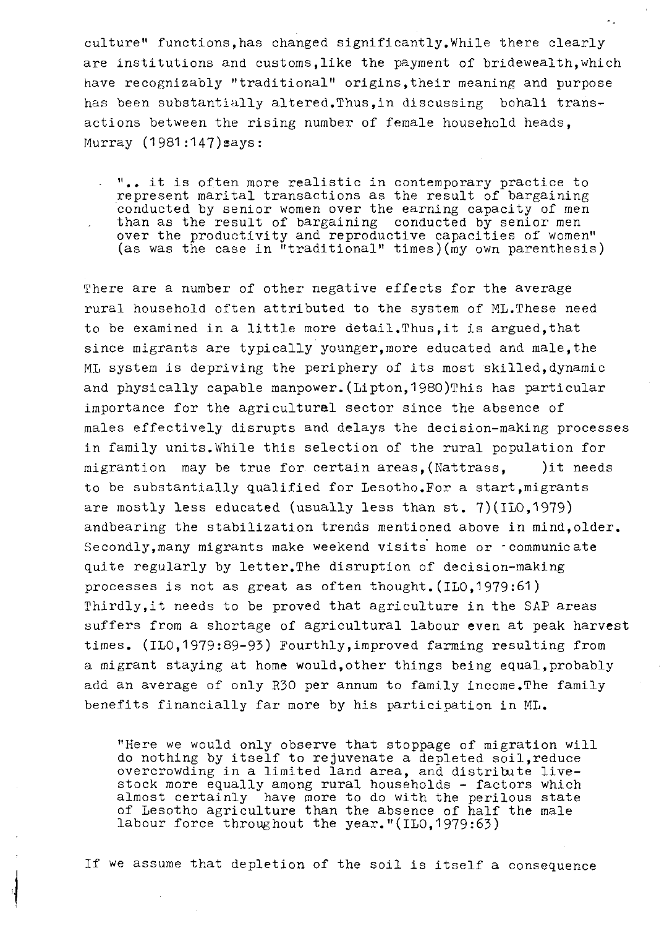culture" functions,has changed significantly.While there clearly are institutions and customs,like the payment of bridewealth,which have recognizably "traditional" origins,their meaning and purpose has been substantially altered.Thus,in discussing bohali transactions between the rising number of female household heads, Murray (1981:147)says:

".• it is often more realistic in contemporary practice to represent marital transactions as the result of bargaining conducted by senior women over the earning capacity of men than as the result of bargaining conducted by senior men over the productivity and reproductive capacities of women" (as was the case in "traditional" times)(my own parenthesis)

There are a number of other negative effects for the average rural household often attributed to the system of ML.These need to be examined in a little more detail.Thus,it is argued,that since migrants are typically younger,more educated and male,the ML system is depriving the periphery of its most skilled,dynamic and physically capable manpower.(Lipton,1980)This has particular importance for the agricultural sector since the absence of males effectively disrupts and delays the decision-making processes in family units.While this selection of the rural population for migrantion may be true for certain areas,(Nattrass, )it needs to be substantially qualified for Lesotho. For a start, migrants are mostly less educated (usually less than st. 7)(ILO,1979) andbearing the stabilization trends mentioned above in mind,older. Secondly, many migrants make weekend visits home or -communicate quite regularly by letter.The disruption of decision-making processes is not as great as often thought.(IL0.1979:61) Thirdly,it needs to be proved that agriculture in the SAP areas suffers from a shortage of agricultural labour even at peak harvest times. (ILO,1979:89-93) Fourthly,improved farming resulting from a migrant staying at home would,other things being equal,probably add an average of only R30 per annum to family income.The family benefits financially far more by his participation in ML.

"Here we would only observe that stoppage of migration will do nothing by itself to rejuvenate a depleted soil,reduce overcrowding in a limited land area, and distribute livestock more equally among rural households - factors which almost certainly have more to do with the perilous state of Lesotho agriculture than the absence of half the male labour force throughout the year."(ILO,1979:63)

If we assume that depletion of the soil is itself a consequence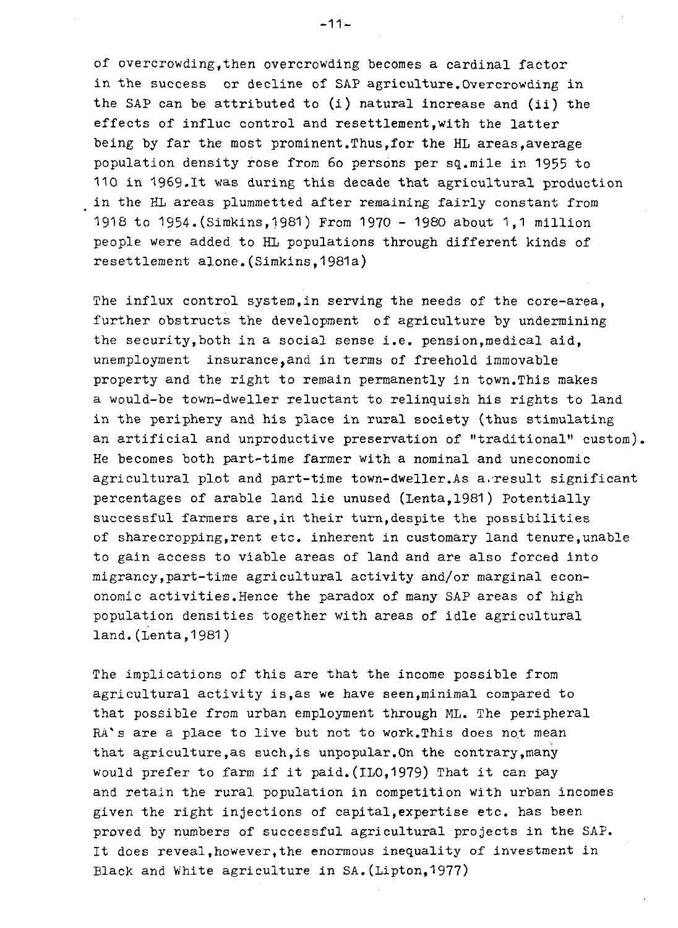of overcrowding,then overcrowding becomes a cardinal factor in the success or decline of SAP agriculture.Overcrowding in the SAP can be attributed to (i) natural increase and (ii) the effects of influc control and resettlement,with the latter being by far the most prominent,Thus,for the HL areas,average population density rose from 60 persons per sq.mile in 1955 to 110 in 1969.It was during this decade that agricultural production in the HL areas plummetted after remaining fairly constant from 1918 to 1954.(Simkins,1981) From 1970 - 1980 about 1,1 million people were added to HL populations through different kinds of resettlement alone. (Simkins, 1981a)

The influx control system, in serving the needs of the core-area, further obstructs the development of agriculture by undermining the security,both in a social sense i.e. pension,medical aid, unemployment insurance,and in terms of freehold immovable property and the right to remain permanently in town.This makes a would-be town-dweller reluctant to relinquish his rights to land in the periphery and his place in rural society (thus stimulating an artificial and unproductive preservation of "traditional" custom). He becomes both part-time farmer with a nominal and uneconomic agricultural plot and part-time town-dweller.As a.result significant percentages of arable land lie unused (Lenta,1981) Potentially successful farmers are,in their turn,despite the possibilities of sharecropping, rent etc. inherent in customary land tenure, unable to gain access to viable areas of land and are also forced into migrancy,part-time agricultural activity and/or marginal econonomic activities.Hence the paradox of many SAP areas of high population densities together with areas of idle agricultural land.(Lenta,1981)

The implications of this are that the income possible from agricultural activity is,as we have seen,minimal compared to that possible from urban employment through ML. The peripheral RA's are a place to live but not to work. This does not mean that agriculture,as such,is unpopular.On the contrary,many would prefer to farm if it paid. (ILO,1979) That it can pay and retain the rural population in competition with urban incomes given the right injections of capital,expertise etc. has been proved by numbers of successful agricultural projects in the SAP. It does reveal,however,the enormous inequality of investment in Black and White agriculture in  $SA.$  (Lipton, 1977)

-11-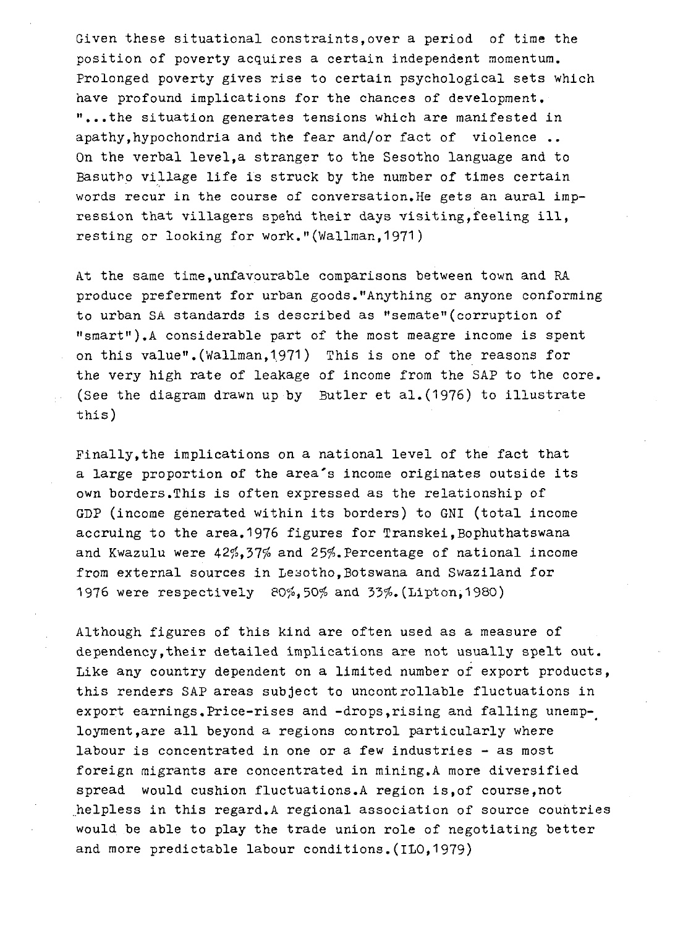Given these situational constraints,over a period of time the position of poverty acquires a certain independent momentum. Prolonged poverty gives rise to certain psychological sets which have profound implications for the chances of development, "...the situation generates tensions which are manifested in apathy,hypochondria and the fear and/or fact of violence .. On the verbal level,a stranger to the Sesotho language and to Basutho village life is struck by the number of times certain words recur in the course of conversation.He gets an aural impression that villagers spend their days visiting,feeling ill, resting or looking for work."(Wallman, 1971)

At the same time,unfavourable comparisons between town and RA produce preferment for urban goods."Anything or anyone conforming to urban SA standards is described as "semate"(corruption of  $"smart"$ ).A considerable part of the most meagre income is spent on this value".(Wallman,1971) This is one of the reasons for the very high rate of leakage of income from the SAP to the core. (See the diagram drawn up by Butler et al.  $(1976)$  to illustrate this)

Finally,the implications on a national level of the fact that a large proportion of the area's income originates outside its own borders.This is often expressed as the relationship of GDP (income generated within its borders) to GNI (total income accruing to the area.1976 figures for Transkei, Bophuthatswana and Kwazulu were  $42\frac{6}{37}\frac{27}{6}$  and  $25\frac{6}{9}$ . Percentage of national income from external sources in Lesotho. Botswana and Swaziland for 1976 were respectively 80%,50% and 33%. (Lipton, 1980)

Although figures of this kind are often used as a measure of dependency,their detailed implications are not usually spelt out. Like any country dependent on a limited number of export products, this renders SAP areas subject to uncontrollable fluctuations in export earnings.Price-rises and -drops,rising and falling unemployment,are all beyond a regions control particularly where labour is concentrated in one or a few industries - as most foreign migrants are concentrated in mining,A more diversified spread would cushion fluctuations.A region is, of course, not helpless in this regard.A regional association of source countries would be able to play the trade union role of negotiating better and more predictable labour conditions.(ILO,1979)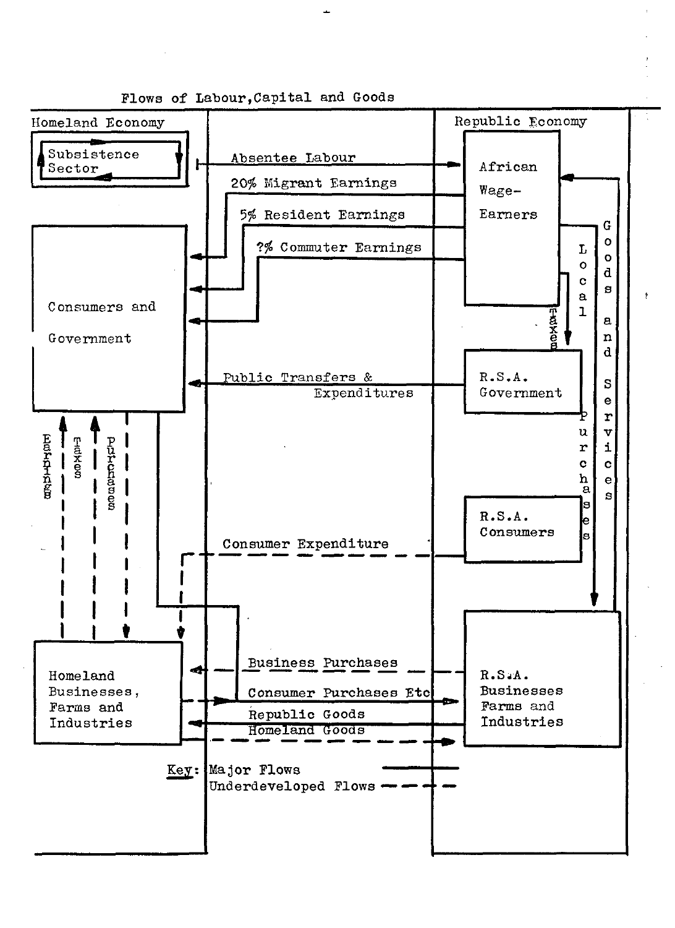

Plows of Labour,Capital and Goods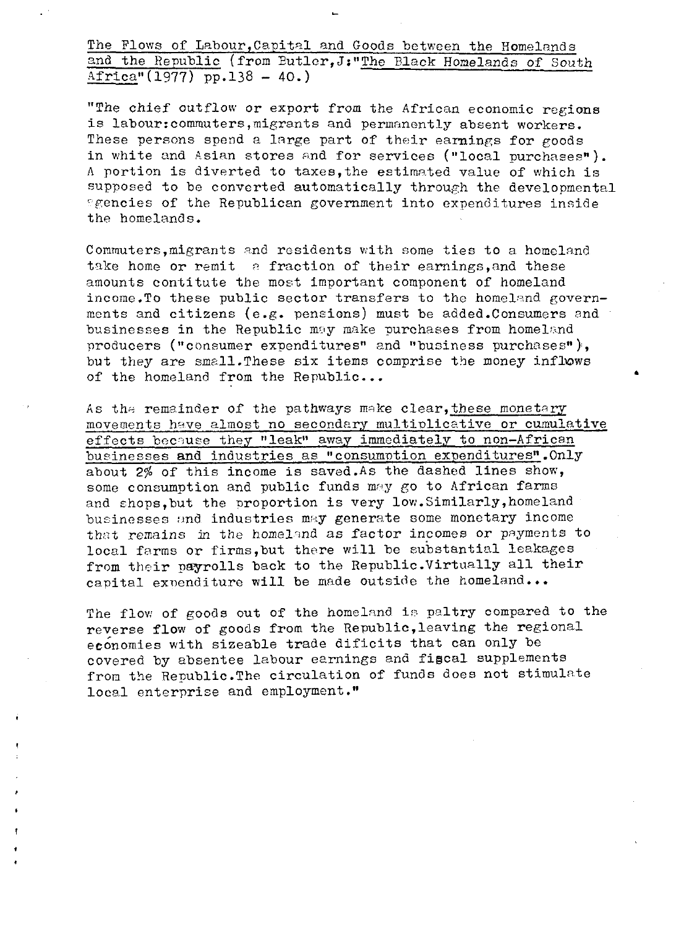The Flows of Labour,Capital and Goods between the Homelands and the Republic (from Butler,J:"The Black Homelands of South  $A$ frica" $(1977)$  pp.138 - 40.)

"The chief outflow or export from the African economic regions is labour:commuters,migrants and permanently absent workers. These persons spend a large part of their earnings for goods in white and Asian stores and for services ("local purchases"). A portion is diverted to taxes,the estimated value of which is supposed to be converted automatically through the developmental <sup>r</sup>gencies of the Republican government into expenditures inside the homelands.

Commuters,migrants and residents with some ties to a homeland take home or remit  $\alpha$  fraction of their earnings, and these amounts contitute the most important component of homeland income.To these public sector transfers to the homeland governments and citizens (e.g. pensions) must be added.Consumers and businesses in the Republic may make purchases from homeland producers ("consumer expenditures" and "business purchases"), but they are small.These six items comprise the money inflows of the homeland from the Republic...

As the remainder of the pathways make clear, these monetary movements have almost no secondary multiplicative or cumulative effects because they "leak" away immediately to non-African businesses and industries as "consumption expenditures".Only about 2% of this income is saved.As the dashed lines show, some consumption and public funds may go to African farms and chops,but the proportion is very low.Similarly,homeland businesses and industries may generate some monetary income that remains in the homeland as factor incomes or payments to local farms or firms,but there will be substantial leakages from their payrolls back to the Republic.Virtually all their capital expenditure will be made outside the homeland...

The flow of goods out of the homeland is paltry compared to the reverse flow of goods from the Republic,leaving the regional economies with sizeable trade dificits that can only be covered by absentee labour earnings and fiscal supplements from the Republic.The circulation of funds does not stimulate local enterprise and employment."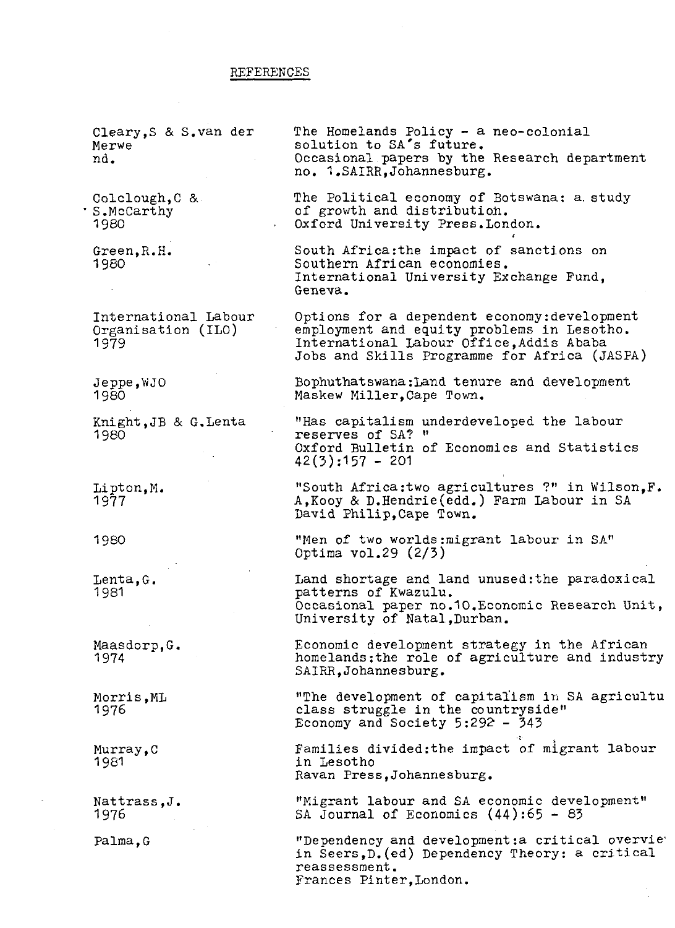#### **REFERENCES**

Cleary,S & S.van der Merwe nd. Colclough,C & S.McCarthy 1980 Green,R.H. 1980 International Labour Organisation (ILO) 1979 Jeppe,WJO 1980 Knight,JB & G.Lenta 1980 Lipton,M. 1977 1980 Lenta,G. 1981 Maasdorp,G. 1974 Morris,ML 1976 Murray, C 1981 Nattrass,J. 1976 Palma,G The Homelands Policy - a neo-colonial solution to SA's future. Occasional papers by the Research department no. 1.SAIRR,Johannesburg. The Political economy of Botswana: a. study of growth and distribution. Oxford University Press.London. South Africa:the impact of sanctions on Southern African economies. International University Exchange Fund, Geneva. Options for a dependent economy:development employment and equity problems in Lesotho. International Labour Office,Addis Ababa Jobs and Skills Programme for Africa (JASPA) Bophuthatswana:Land tenure and development Maskew Miller,Cape Town. "Has capitalism underdeveloped the labour reserves of SA? " Oxford Bulletin of Economics and Statistics  $42(3):157 - 201$ "South Africa:two agricultures ?" in Wilson,F. A,Kooy & D.Hendrie(edd.) Farm Labour in SA David Philip,Cape Town. "Hen of two worlds:migrant labour in SA" Optima vol.29 (2/3) Land shortage and land unused: the paradoxical patterns of Kwazulu. Occasional paper no.10.Economic Research Unit, University of Natal,Durban. Economic development strategy in the African homelands: the role of agriculture and industry SAIRR,Johannesburg. "The development of capitalism in SA agricultu class struggle in the countryside" Economy and Society 5:292 - 343 Families divided:the impact of migrant labour in Lesotho Ravan Press,Johannesburg. "Migrant labour and SA economic development" SA Journal of Economics (44):65 - 83 "Dependency and development: a critical overvie" in Seers,D.(ed) Dependency Theory: a critical reassessment.

Frances Pinter,London.